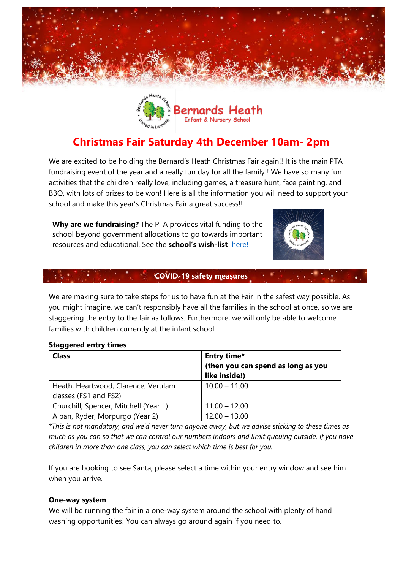



# **Christmas Fair Saturday 4th December 10am- 2pm**

We are excited to be holding the Bernard's Heath Christmas Fair again!! It is the main PTA fundraising event of the year and a really fun day for all the family!! We have so many fun activities that the children really love, including games, a treasure hunt, face painting, and BBQ, with lots of prizes to be won! Here is all the information you will need to support your school and make this year's Christmas Fair a great success!!

**Why are we fundraising?** The PTA provides vital funding to the school beyond government allocations to go towards important resources and educational. See the **school's wish-list** [here!](https://www.pta-events.co.uk/bernardsheath/index.cfm?event=news&newsId=4854#.YYwt6i-l10s)



### **COVID-19 safety measures**

We are making sure to take steps for us to have fun at the Fair in the safest way possible. As you might imagine, we can't responsibly have all the families in the school at once, so we are staggering the entry to the fair as follows. Furthermore, we will only be able to welcome families with children currently at the infant school.

#### **Staggered entry times**

| <b>Class</b>                          | Entry time*                        |  |
|---------------------------------------|------------------------------------|--|
|                                       | (then you can spend as long as you |  |
|                                       | like inside!)                      |  |
| Heath, Heartwood, Clarence, Verulam   | $10.00 - 11.00$                    |  |
| classes (FS1 and FS2)                 |                                    |  |
| Churchill, Spencer, Mitchell (Year 1) | $11.00 - 12.00$                    |  |
| Alban, Ryder, Morpurgo (Year 2)       | $12.00 - 13.00$                    |  |

*\*This is not mandatory, and we'd never turn anyone away, but we advise sticking to these times as much as you can so that we can control our numbers indoors and limit queuing outside. If you have children in more than one class, you can select which time is best for you.* 

If you are booking to see Santa, please select a time within your entry window and see him when you arrive.

#### **One-way system**

We will be running the fair in a one-way system around the school with plenty of hand washing opportunities! You can always go around again if you need to.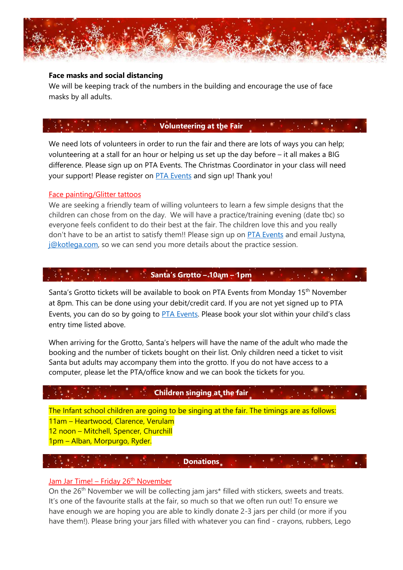

#### **Face masks and social distancing**

We will be keeping track of the numbers in the building and encourage the use of face masks by all adults.

### **Volunteering at the Fair**

We need lots of volunteers in order to run the fair and there are lots of ways you can help; volunteering at a stall for an hour or helping us set up the day before – it all makes a BIG difference. Please sign up on PTA Events. The Christmas Coordinator in your class will need your support! Please register on [PTA Events](https://www.pta-events.co.uk/bernardsheath/index.cfm?event=event&eventId=42734#.YYwveC-l10s) and sign up! Thank you!

#### Face painting/Glitter tattoos

We are seeking a friendly team of willing volunteers to learn a few simple designs that the children can chose from on the day. We will have a practice/training evening (date tbc) so everyone feels confident to do their best at the fair. The children love this and you really don't have to be an artist to satisfy them!! Please sign up on [PTA Events](https://www.pta-events.co.uk/bernardsheath/index.cfm?event=event&eventId=42734#.YYwveC-l10s) and email Justyna, [j@kotlega.com,](mailto:j@kotlega.com) so we can send you more details about the practice session.

### **Santa's Grotto – 10am – 1pm**

Santa's Grotto tickets will be available to book on PTA Events from Monday 15<sup>th</sup> November at 8pm. This can be done using your debit/credit card. If you are not yet signed up to PTA Events, you can do so by going to [PTA Events.](https://www.pta-events.co.uk/bernardsheath/index.cfm?event=event&eventId=42734#.YYwveC-l10s) Please book your slot within your child's class entry time listed above.

When arriving for the Grotto, Santa's helpers will have the name of the adult who made the booking and the number of tickets bought on their list. Only children need a ticket to visit Santa but adults may accompany them into the grotto. If you do not have access to a computer, please let the PTA/office know and we can book the tickets for you.

## **Children singing at the fair**

The Infant school children are going to be singing at the fair. The timings are as follows: 11am – Heartwood, Clarence, Verulam 12 noon – Mitchell, Spencer, Churchill 1pm – Alban, Morpurgo, Ryder.

### **Donations**

#### Jam Jar Time! – Friday  $26<sup>th</sup>$  November

On the 26<sup>th</sup> November we will be collecting jam jars<sup>\*</sup> filled with stickers, sweets and treats. It's one of the favourite stalls at the fair, so much so that we often run out! To ensure we have enough we are hoping you are able to kindly donate 2-3 jars per child (or more if you have them!). Please bring your jars filled with whatever you can find - crayons, rubbers, Lego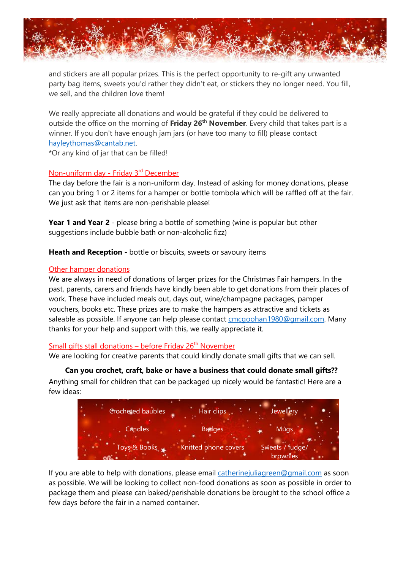

and stickers are all popular prizes. This is the perfect opportunity to re-gift any unwanted party bag items, sweets you'd rather they didn't eat, or stickers they no longer need. You fill, we sell, and the children love them!

We really appreciate all donations and would be grateful if they could be delivered to outside the office on the morning of **Friday 26th November**. Every child that takes part is a winner. If you don't have enough jam jars (or have too many to fill) please contact [hayleythomas@cantab.net.](mailto:hayleythomas@cantab.net)

\*Or any kind of jar that can be filled!

### Non-uniform day - Friday 3<sup>rd</sup> December

The day before the fair is a non-uniform day. Instead of asking for money donations, please can you bring 1 or 2 items for a hamper or bottle tombola which will be raffled off at the fair. We just ask that items are non-perishable please!

**Year 1 and Year 2** - please bring a bottle of something (wine is popular but other suggestions include bubble bath or non-alcoholic fizz)

**Heath and Reception** - bottle or biscuits, sweets or savoury items

### Other hamper donations

We are always in need of donations of larger prizes for the Christmas Fair hampers. In the past, parents, carers and friends have kindly been able to get donations from their places of work. These have included meals out, days out, wine/champagne packages, pamper vouchers, books etc. These prizes are to make the hampers as attractive and tickets as saleable as possible. If anyone can help please contact [cmcgoohan1980@gmail.com.](mailto:cmcgoohan1980@gmail.com) Many thanks for your help and support with this, we really appreciate it.

### Small gifts stall donations – before Friday  $26<sup>th</sup>$  November

We are looking for creative parents that could kindly donate small gifts that we can sell.

### **Can you crochet, craft, bake or have a business that could donate small gifts??**

Anything small for children that can be packaged up nicely would be fantastic! Here are a few ideas:



If you are able to help with donations, please email catherine juliagreen@gmail.com as soon as possible. We will be looking to collect non-food donations as soon as possible in order to package them and please can baked/perishable donations be brought to the school office a few days before the fair in a named container.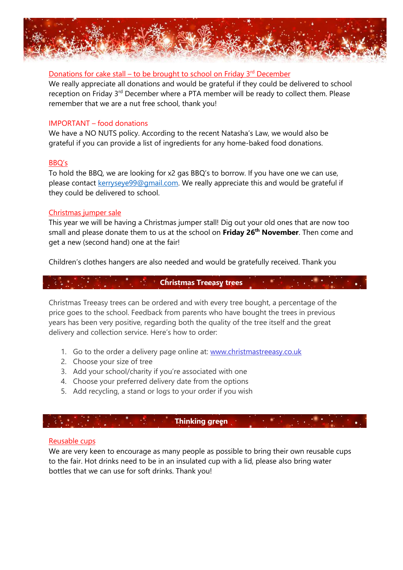

#### Donations for cake stall – to be brought to school on Friday 3<sup>rd</sup> December

We really appreciate all donations and would be grateful if they could be delivered to school reception on Friday 3<sup>rd</sup> December where a PTA member will be ready to collect them. Please remember that we are a nut free school, thank you!

#### IMPORTANT – food donations

We have a NO NUTS policy. According to the recent Natasha's Law, we would also be grateful if you can provide a list of ingredients for any home-baked food donations.

#### BBQ's

To hold the BBQ, we are looking for x2 gas BBQ's to borrow. If you have one we can use, please contact [kerryseye99@gmail.com.](mailto:kerryseye99@gmail.com) We really appreciate this and would be grateful if they could be delivered to school.

#### Christmas jumper sale

This year we will be having a Christmas jumper stall! Dig out your old ones that are now too small and please donate them to us at the school on **Friday 26th November**. Then come and get a new (second hand) one at the fair!

Children's clothes hangers are also needed and would be gratefully received. Thank you

### **Christmas Treeasy trees**

Christmas Treeasy trees can be ordered and with every tree bought, a percentage of the price goes to the school. Feedback from parents who have bought the trees in previous years has been very positive, regarding both the quality of the tree itself and the great delivery and collection service. Here's how to order:

- 1. Go to the order a delivery page online at: [www.christmastreeasy.co.uk](https://5j9i6.r.a.d.sendibm1.com/mk/cl/f/HY3aCeqFpkoZIJcK4nHPgJH2_SBHfclfAYR2QLZ_HcilqN42ca1qZSebUJgiSMcle2IFrdbyPT-ElYXq-FURbb-QdEqbLpieIo7syV9QRgggXO5z5MD_Z9PPqbJAy0wHcKeIZhSWqSQZVuzLtMboqyuTLcHcCH2WJZJs59s61rAwro0Af_sxMP8yUllNpSiCJplDsMJbGA)
- 2. Choose your size of tree
- 3. Add your school/charity if you're associated with one
- 4. Choose your preferred delivery date from the options
- 5. Add recycling, a stand or logs to your order if you wish

### **Thinking green**

#### Reusable cups

We are very keen to encourage as many people as possible to bring their own reusable cups to the fair. Hot drinks need to be in an insulated cup with a lid, please also bring water bottles that we can use for soft drinks. Thank you!